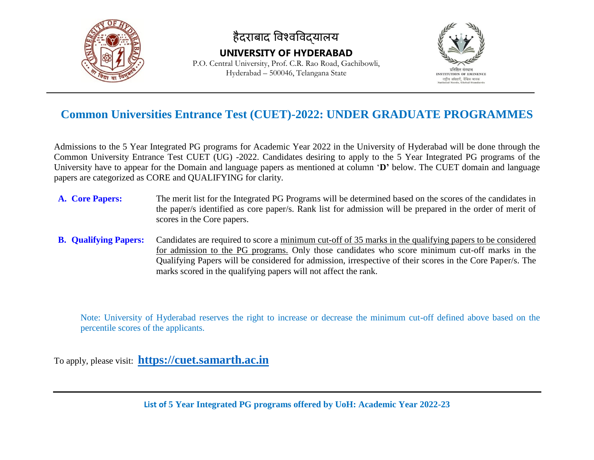

हैदराबाद विश्वविद्यालय

**UNIVERSITY OF HYDERABAD**

P.O. Central University, Prof. C.R. Rao Road, Gachibowli, Hyderabad – 500046, Telangana State



## **Common Universities Entrance Test (CUET)-2022: UNDER GRADUATE PROGRAMMES**

Admissions to the 5 Year Integrated PG programs for Academic Year 2022 in the University of Hyderabad will be done through the Common University Entrance Test CUET (UG) -2022. Candidates desiring to apply to the 5 Year Integrated PG programs of the University have to appear for the Domain and language papers as mentioned at column '**D'** below. The CUET domain and language papers are categorized as CORE and QUALIFYING for clarity.

- **A. Core Papers:** The merit list for the Integrated PG Programs will be determined based on the scores of the candidates in the paper/s identified as core paper/s. Rank list for admission will be prepared in the order of merit of scores in the Core papers.
- **B. Qualifying Papers:** Candidates are required to score a minimum cut-off of 35 marks in the qualifying papers to be considered for admission to the PG programs. Only those candidates who score minimum cut-off marks in the Qualifying Papers will be considered for admission, irrespective of their scores in the Core Paper/s. The marks scored in the qualifying papers will not affect the rank.

Note: University of Hyderabad reserves the right to increase or decrease the minimum cut-off defined above based on the percentile scores of the applicants.

To apply, please visit: **[https://cuet.samarth.ac.in](https://cuet.samarth.ac.in/)**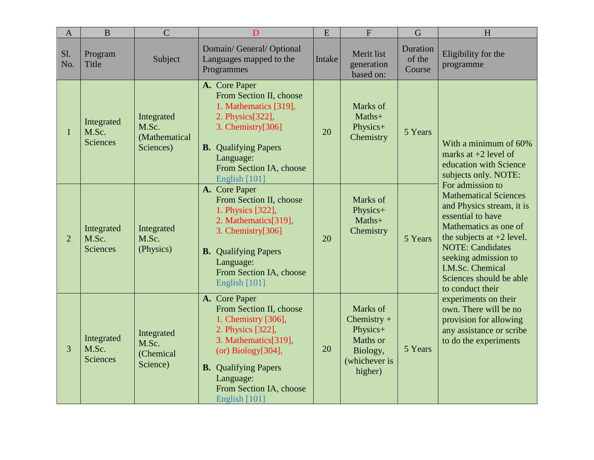| $\mathbf{A}$   | $\overline{B}$                         | $\overline{C}$                                    | D                                                                                                                                                                                                                          | E      | $\overline{F}$                                                                            | $\overline{G}$               | H                                                                                                                                                                                                                                                                                                                                                                                                                                                                                                                     |
|----------------|----------------------------------------|---------------------------------------------------|----------------------------------------------------------------------------------------------------------------------------------------------------------------------------------------------------------------------------|--------|-------------------------------------------------------------------------------------------|------------------------------|-----------------------------------------------------------------------------------------------------------------------------------------------------------------------------------------------------------------------------------------------------------------------------------------------------------------------------------------------------------------------------------------------------------------------------------------------------------------------------------------------------------------------|
| Sl.<br>No.     | Program<br>Title                       | Subject                                           | Domain/ General/ Optional<br>Languages mapped to the<br>Programmes                                                                                                                                                         | Intake | Merit list<br>generation<br>based on:                                                     | Duration<br>of the<br>Course | Eligibility for the<br>programme                                                                                                                                                                                                                                                                                                                                                                                                                                                                                      |
| $\mathbf{1}$   | Integrated<br>M.Sc.<br><b>Sciences</b> | Integrated<br>M.Sc.<br>(Mathematical<br>Sciences) | A. Core Paper<br>From Section II, choose<br>1. Mathematics [319],<br>2. Physics[322],<br>3. Chemistry[306]<br><b>B.</b> Qualifying Papers<br>Language:<br>From Section IA, choose<br>English [101]                         | 20     | Marks of<br>$Maths+$<br>Physics+<br>Chemistry                                             | 5 Years                      | With a minimum of 60%<br>marks at $+2$ level of<br>education with Science<br>subjects only. NOTE:<br>For admission to<br><b>Mathematical Sciences</b><br>and Physics stream, it is<br>essential to have<br>Mathematics as one of<br>the subjects at $+2$ level.<br><b>NOTE: Candidates</b><br>seeking admission to<br>I.M.Sc. Chemical<br>Sciences should be able<br>to conduct their<br>experiments on their<br>own. There will be no<br>provision for allowing<br>any assistance or scribe<br>to do the experiments |
| $\overline{2}$ | Integrated<br>M.Sc.<br><b>Sciences</b> | Integrated<br>M.Sc.<br>(Physics)                  | A. Core Paper<br>From Section II, choose<br>1. Physics [322],<br>2. Mathematics[319],<br>3. Chemistry[306]<br><b>B.</b> Qualifying Papers<br>Language:<br>From Section IA, choose<br>English [101]                         | 20     | Marks of<br>Physics+<br>Maths+<br>Chemistry                                               | 5 Years                      |                                                                                                                                                                                                                                                                                                                                                                                                                                                                                                                       |
| $\overline{3}$ | Integrated<br>M.Sc.<br><b>Sciences</b> | Integrated<br>M.Sc.<br>(Chemical<br>Science)      | A. Core Paper<br>From Section II, choose<br>1. Chemistry [306],<br>2. Physics [322],<br>3. Mathematics[319],<br>(or) Biology[304],<br><b>B.</b> Qualifying Papers<br>Language:<br>From Section IA, choose<br>English [101] | 20     | Marks of<br>Chemistry $+$<br>Physics+<br>Maths or<br>Biology,<br>(whichever is<br>higher) | 5 Years                      |                                                                                                                                                                                                                                                                                                                                                                                                                                                                                                                       |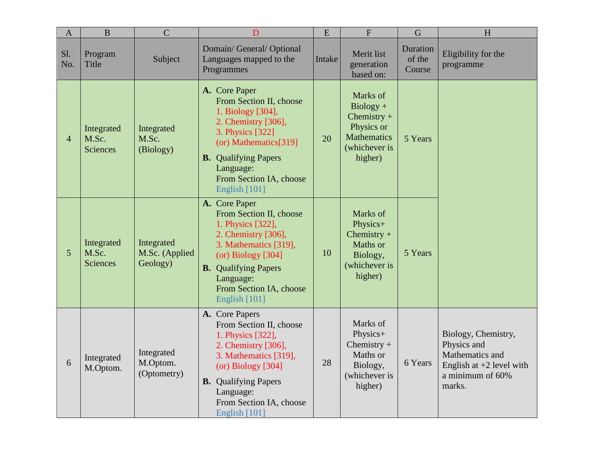| $\mathbf{A}$   | $\bf{B}$                               | $\overline{C}$                           | D                                                                                                                                                                                                                               | E      | $\overline{F}$                                                                                           | $\mathbf G$                  | H                                                                                                                 |
|----------------|----------------------------------------|------------------------------------------|---------------------------------------------------------------------------------------------------------------------------------------------------------------------------------------------------------------------------------|--------|----------------------------------------------------------------------------------------------------------|------------------------------|-------------------------------------------------------------------------------------------------------------------|
| SI.<br>No.     | Program<br>Title                       | Subject                                  | Domain/ General/ Optional<br>Languages mapped to the<br>Programmes                                                                                                                                                              | Intake | Merit list<br>generation<br>based on:                                                                    | Duration<br>of the<br>Course | Eligibility for the<br>programme                                                                                  |
| $\overline{4}$ | Integrated<br>M.Sc.<br><b>Sciences</b> | Integrated<br>M.Sc.<br>(Biology)         | A. Core Paper<br>From Section II, choose<br>1. Biology [304],<br>2. Chemistry [306],<br>3. Physics [322]<br>(or) Mathematics[319]<br><b>B.</b> Qualifying Papers<br>Language:<br>From Section IA, choose<br>English [101]       | 20     | Marks of<br>$Biology +$<br>Chemistry $+$<br>Physics or<br><b>Mathematics</b><br>(whichever is<br>higher) | 5 Years                      |                                                                                                                   |
| 5              | Integrated<br>M.Sc.<br><b>Sciences</b> | Integrated<br>M.Sc. (Applied<br>Geology) | A. Core Paper<br>From Section II, choose<br>1. Physics [322],<br>2. Chemistry [306],<br>3. Mathematics [319],<br>(or) Biology $[304]$<br><b>B.</b> Qualifying Papers<br>Language:<br>From Section IA, choose<br>English $[101]$ | 10     | Marks of<br>Physics+<br>Chemistry $+$<br>Maths or<br>Biology,<br>(whichever is<br>higher)                | 5 Years                      |                                                                                                                   |
| 6              | Integrated<br>M.Optom.                 | Integrated<br>M.Optom.<br>(Optometry)    | A. Core Papers<br>From Section II, choose<br>1. Physics [322],<br>2. Chemistry [306],<br>3. Mathematics [319],<br>(or) Biology [304]<br><b>B.</b> Qualifying Papers<br>Language:<br>From Section IA, choose<br>English [101]    | 28     | Marks of<br>Physics+<br>Chemistry $+$<br>Maths or<br>Biology,<br>(whichever is<br>higher)                | 6 Years                      | Biology, Chemistry,<br>Physics and<br>Mathematics and<br>English at $+2$ level with<br>a minimum of 60%<br>marks. |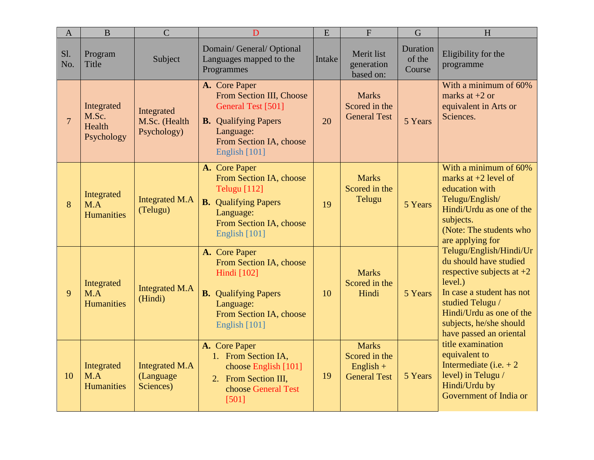| $\mathbf{A}$   | $\bf{B}$                                    | $\overline{C}$                                  | D                                                                                                                                                       | E      | $\overline{F}$                                                      | $\overline{G}$               | H                                                                                                                                                                                                                              |
|----------------|---------------------------------------------|-------------------------------------------------|---------------------------------------------------------------------------------------------------------------------------------------------------------|--------|---------------------------------------------------------------------|------------------------------|--------------------------------------------------------------------------------------------------------------------------------------------------------------------------------------------------------------------------------|
| SI.<br>No.     | Program<br><b>Title</b>                     | Subject                                         | Domain/General/Optional<br>Languages mapped to the<br>Programmes                                                                                        | Intake | Merit list<br>generation<br>based on:                               | Duration<br>of the<br>Course | Eligibility for the<br>programme                                                                                                                                                                                               |
| $\overline{7}$ | Integrated<br>M.Sc.<br>Health<br>Psychology | Integrated<br>M.Sc. (Health<br>Psychology)      | A. Core Paper<br>From Section III, Choose<br>General Test [501]<br><b>B.</b> Qualifying Papers<br>Language:<br>From Section IA, choose<br>English [101] | 20     | <b>Marks</b><br>Scored in the<br><b>General Test</b>                | 5 Years                      | With a minimum of 60%<br>marks at $+2$ or<br>equivalent in Arts or<br>Sciences.                                                                                                                                                |
| 8              | Integrated<br>M.A<br><b>Humanities</b>      | <b>Integrated M.A</b><br>(Telugu)               | A. Core Paper<br>From Section IA, choose<br><b>Telugu</b> [112]<br><b>B.</b> Qualifying Papers<br>Language:<br>From Section IA, choose<br>English [101] | 19     | <b>Marks</b><br>Scored in the<br>Telugu                             | 5 Years                      | With a minimum of 60%<br>marks at $+2$ level of<br>education with<br>Telugu/English/<br>Hindi/Urdu as one of the<br>subjects.<br>(Note: The students who<br>are applying for                                                   |
| 9              | Integrated<br>M.A<br><b>Humanities</b>      | <b>Integrated M.A</b><br>(Hindi)                | A. Core Paper<br>From Section IA, choose<br>Hindi [102]<br><b>B.</b> Qualifying Papers<br>Language:<br>From Section IA, choose<br>English [101]         | 10     | <b>Marks</b><br>Scored in the<br>Hindi                              | 5 Years                      | Telugu/English/Hindi/Ur<br>du should have studied<br>respective subjects at $+2$<br>level.)<br>In case a student has not<br>studied Telugu /<br>Hindi/Urdu as one of the<br>subjects, he/she should<br>have passed an oriental |
| 10             | Integrated<br>M.A<br><b>Humanities</b>      | <b>Integrated M.A</b><br>(Language<br>Sciences) | A. Core Paper<br>1. From Section IA,<br>choose English [101]<br>2. From Section III,<br>choose General Test<br>[501]                                    | 19     | <b>Marks</b><br>Scored in the<br>$English +$<br><b>General Test</b> | 5 Years                      | title examination<br>equivalent to<br>Intermediate (i.e. $+2$<br>level) in Telugu /<br>Hindi/Urdu by<br>Government of India or                                                                                                 |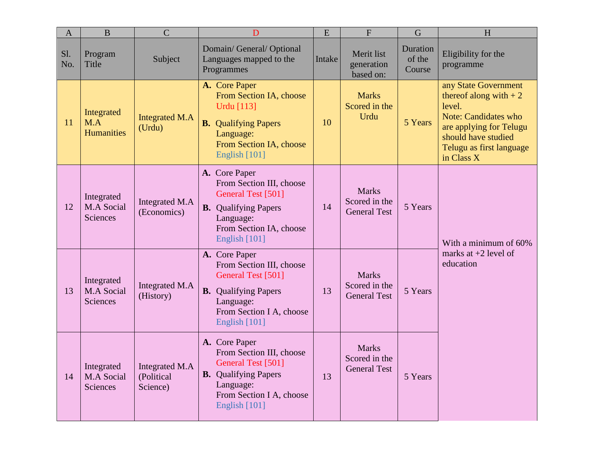| A          | $\bf{B}$                                    | $\overline{C}$                           | D                                                                                                                                                        | E      | $\overline{F}$                                       | G                            | H                                                                                                                                                                                    |
|------------|---------------------------------------------|------------------------------------------|----------------------------------------------------------------------------------------------------------------------------------------------------------|--------|------------------------------------------------------|------------------------------|--------------------------------------------------------------------------------------------------------------------------------------------------------------------------------------|
| Sl.<br>No. | Program<br>Title                            | Subject                                  | Domain/ General/ Optional<br>Languages mapped to the<br>Programmes                                                                                       | Intake | Merit list<br>generation<br>based on:                | Duration<br>of the<br>Course | Eligibility for the<br>programme                                                                                                                                                     |
| 11         | Integrated<br>M.A<br><b>Humanities</b>      | <b>Integrated M.A</b><br>(Urdu)          | A. Core Paper<br>From Section IA, choose<br>Urdu [113]<br><b>B.</b> Qualifying Papers<br>Language:<br>From Section IA, choose<br>English [101]           | 10     | <b>Marks</b><br>Scored in the<br>Urdu                | 5 Years                      | any State Government<br>thereof along with $+2$<br>level.<br><b>Note: Candidates who</b><br>are applying for Telugu<br>should have studied<br>Telugu as first language<br>in Class X |
| 12         | Integrated<br>M.A Social<br><b>Sciences</b> | Integrated M.A<br>(Economics)            | A. Core Paper<br>From Section III, choose<br>General Test [501]<br><b>B.</b> Qualifying Papers<br>Language:<br>From Section IA, choose<br>English [101]  | 14     | <b>Marks</b><br>Scored in the<br><b>General Test</b> | 5 Years                      | With a minimum of 60%<br>marks at $+2$ level of<br>education                                                                                                                         |
| 13         | Integrated<br>M.A Social<br>Sciences        | Integrated M.A<br>(History)              | A. Core Paper<br>From Section III, choose<br>General Test [501]<br><b>B.</b> Qualifying Papers<br>Language:<br>From Section I A, choose<br>English [101] | 13     | <b>Marks</b><br>Scored in the<br><b>General Test</b> | 5 Years                      |                                                                                                                                                                                      |
| 14         | Integrated<br>M.A Social<br>Sciences        | Integrated M.A<br>(Political<br>Science) | A. Core Paper<br>From Section III, choose<br>General Test [501]<br><b>B.</b> Qualifying Papers<br>Language:<br>From Section I A, choose<br>English [101] | 13     | <b>Marks</b><br>Scored in the<br><b>General Test</b> | 5 Years                      |                                                                                                                                                                                      |